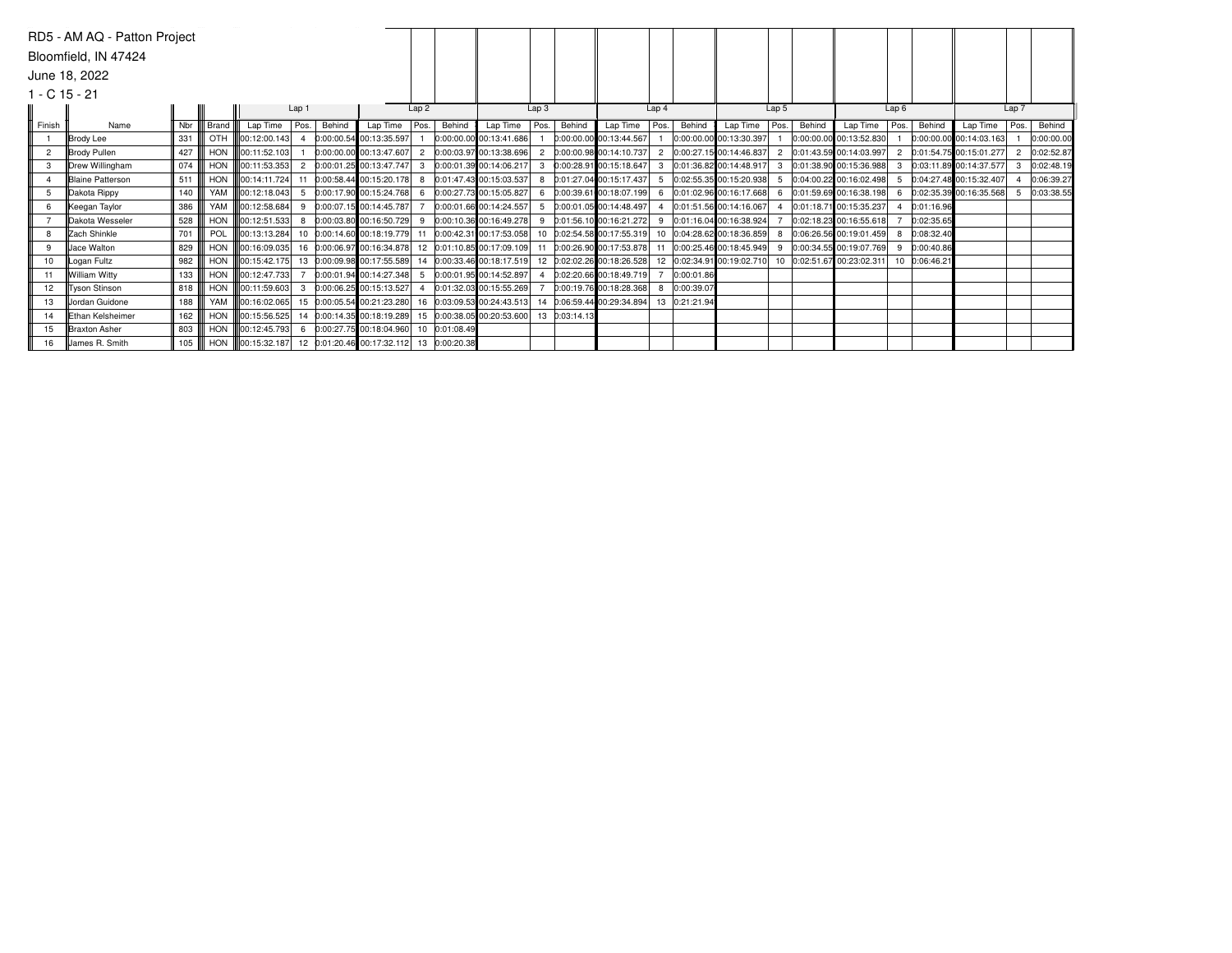|        | RD5 - AM AQ - Patton Project |     |            |                                                             |                  |        |                                         |                |               |                            |                  |               |                                          |                  |            |                            |       |        |                           |      |               |                           |                |            |
|--------|------------------------------|-----|------------|-------------------------------------------------------------|------------------|--------|-----------------------------------------|----------------|---------------|----------------------------|------------------|---------------|------------------------------------------|------------------|------------|----------------------------|-------|--------|---------------------------|------|---------------|---------------------------|----------------|------------|
|        | Bloomfield, IN 47424         |     |            |                                                             |                  |        |                                         |                |               |                            |                  |               |                                          |                  |            |                            |       |        |                           |      |               |                           |                |            |
|        | June 18, 2022                |     |            |                                                             |                  |        |                                         |                |               |                            |                  |               |                                          |                  |            |                            |       |        |                           |      |               |                           |                |            |
|        | $1 - C$ 15 - 21              |     |            |                                                             |                  |        |                                         |                |               |                            |                  |               |                                          |                  |            |                            |       |        |                           |      |               |                           |                |            |
|        |                              |     |            |                                                             | Lap <sub>1</sub> |        |                                         | Lap2           |               |                            | Lap <sub>3</sub> |               |                                          | Lap <sub>4</sub> |            |                            | Lap 5 |        |                           | Lap6 |               |                           | Lap 7          |            |
| Finish | Name                         | Nbr | Brand      | Lap Time Pos.                                               |                  | Behind | Lap Time                                | Pos.           | Behind        | Lap Time                   | Pos.             | Behind        | Lap Time                                 | Pos.             | Behind     | Lap Time $ Pos.$           |       | Behind | Lap Time                  | Pos. | Behind        | Lap Time                  | Pos.           | Behind     |
|        | Brody Lee                    | 331 | OTH        | 100:12:00.143 4                                             |                  |        | 0:00:00.54 00:13:35.597                 |                |               | 0:00:00.00 00:13:41.686    |                  |               | 0:00:00.00 00:13:44.567                  |                  |            | 0:00:00.00 00:13:30.397    |       |        | 0:00:00.00 00:13:52.830   |      |               | $0:00:00.00$ 00:14:03.163 |                | 0:00:00.00 |
|        | Brody Pullen                 | 427 | <b>HON</b> | 00:11:52.103                                                |                  |        | 0:00:00.00 00:13:47.607                 | $\overline{2}$ |               | 0:00:03.97 00:13:38.696    |                  |               | $0:00:00.98$ 00:14:10.737                |                  |            | 0:00:27.15 00:14:46.837    |       |        | 0:01:43.59 00:14:03.997   |      |               | 2 0:01:54.75 00:15:01.277 | $\overline{2}$ | 0:02:52.87 |
|        | <b>IDrew Willingham</b>      | 074 | <b>HON</b> | 00:11:53.353                                                | $\overline{2}$   |        | 0:00:01.25 00:13:47.747                 |                |               | 0:00:01.39 00:14:06.217    |                  |               | 0:00:28.91 00:15:18.647                  |                  |            | 0:01:36.82 00:14:48.917    |       |        | 0:01:38.90 00:15:36.988   | 3    |               | 0:03:11.89 00:14:37.577   |                | 0:02:48.19 |
|        | <b>Blaine Patterson</b>      | 511 | <b>HON</b> | 00:14:11.724 11                                             |                  |        | 0:00:58.44 00:15:20.178                 | 8              |               | 0:01:47.43 00:15:03.537    |                  |               | 8 0:01:27.04 00:15:17.437                |                  |            | 0:02:55.35 00:15:20.938    |       |        | 0:04:00.22 00:16:02.498   | -5   |               | 0:04:27.48 00:15:32.407   |                | 0:06:39.27 |
| 5      | Dakota Rippy                 | 140 | YAM        | $\left\  \right\ $ 00:12:18.043 5                           |                  |        | 0:00:17.90 00:15:24.768                 | 6              |               | 0:00:27.73 00:15:05.827    |                  |               | 6 0:00:39.61 00:18:07.199                | 6                |            | 0:01:02.96 00:16:17.668    |       |        | 0:01:59.69 00:16:38.198   | 6    |               | $0:02:35.39$ 00:16:35.568 |                | 0:03:38.55 |
|        | Keegan Taylor                | 386 | YAM        | 00:12:58.684                                                | 9                |        | 0:00:07.15 00:14:45.787                 |                |               | 0:00:01.66 00:14:24.557    |                  |               | 5 0:00:01.05 00:14:48.497                |                  |            | 0:01:51.56 00:14:16.067    |       |        | 0:01:18.71 00:15:35.237   |      | 0:01:16.96    |                           |                |            |
|        | <b>Dakota Wesseler</b>       | 528 | HON        | $\ 00:12:51.533\ $ 8                                        |                  |        | 0:00:03.80 00:16:50.729                 | 9              |               | 0:00:10.36 00:16:49.278    |                  |               | 9 0:01:56.10 00:16:21.272                | 9                |            | 0:01:16.04 00:16:38.924    |       |        | $0:02:18.23$ 00:16:55.618 |      | 0:02:35.65    |                           |                |            |
| 8      | Zach Shinkle                 | 701 | POL        |                                                             |                  |        | 00:13:13.284 10 0:00:14.60 00:18:19.779 | 11             |               | 0:00:42.31 00:17:53.058    |                  |               | 0:02:54.58 00:17:55.319                  |                  |            | 10 0:04:28.62 00:18:36.859 |       |        | 0:06:26.56 00:19:01.459   | 8    | 0:08:32.40    |                           |                |            |
| 9      | Jace Walton                  | 829 | HON        | 00:16:09.035 16 0:00:06.97 00:16:34.878                     |                  |        |                                         |                |               | 12 0:01:10.85 00:17:09.109 |                  |               | $0:00:26.90$ 00:17:53.878                | 11               |            | 0:00:25.46 00:18:45.949    |       |        | 0:00:34.55 00:19:07.769   | 9    | 0:00:40.86    |                           |                |            |
| 10     | Logan Fultz                  | 982 |            | 00:15:42.175 13 0:00:09.98 00:17:55.589                     |                  |        |                                         |                |               | 14 0:00:33.46 00:18:17.519 |                  |               | 12 0:02:02.26 00:18:26.528               | 12               |            | 0:02:34.91 00:19:02.710    |       |        | 0:02:51.67 00:23:02.311   |      | 10 0:06:46.21 |                           |                |            |
| 11     | William Witty                | 133 |            | HON <b>100:12:47.733</b>                                    |                  |        | 0:00:01.94 00:14:27.348                 | -5             |               | 0:00:01.95 00:14:52.897    |                  |               | $0:02:20.66$ 00:18:49.719                |                  | 0:00:01.86 |                            |       |        |                           |      |               |                           |                |            |
| 12     | <b>Tyson Stinson</b>         | 818 | <b>HON</b> | 00:11:59.603                                                | -3               |        | 0:00:06.25 00:15:13.527                 |                |               | 0:01:32.03 00:15:55.269    |                  |               | $0:00:19.76$ 00:18:28.368                | 8                | 0:00:39.07 |                            |       |        |                           |      |               |                           |                |            |
| 13     | Jordan Guidone               | 188 | YAM        | 00:16:02.065 15 0:00:05.54 00:21:23.280                     |                  |        |                                         |                |               | 16 0:03:09.53 00:24:43.513 |                  |               | 14 0:06:59.44 00:29:34.894 13 0:21:21.94 |                  |            |                            |       |        |                           |      |               |                           |                |            |
| 14     | <b>IEthan Kelsheimer</b>     | 162 |            | HON   00:15:56.525 14 0:00:14.35 00:18:19.289               |                  |        |                                         |                |               | 15 0:00:38.05 00:20:53.600 |                  | 13 0:03:14.13 |                                          |                  |            |                            |       |        |                           |      |               |                           |                |            |
| 15     | Braxton Asher                | 803 |            | HON   00:12:45.793 6 0:00:27.75 00:18:04.960                |                  |        |                                         |                | 10 0:01:08.49 |                            |                  |               |                                          |                  |            |                            |       |        |                           |      |               |                           |                |            |
| 16     | James R. Smith               | 105 |            | HON   00:15:32.187 12 0:01:20.46 00:17:32.112 13 0:00:20.38 |                  |        |                                         |                |               |                            |                  |               |                                          |                  |            |                            |       |        |                           |      |               |                           |                |            |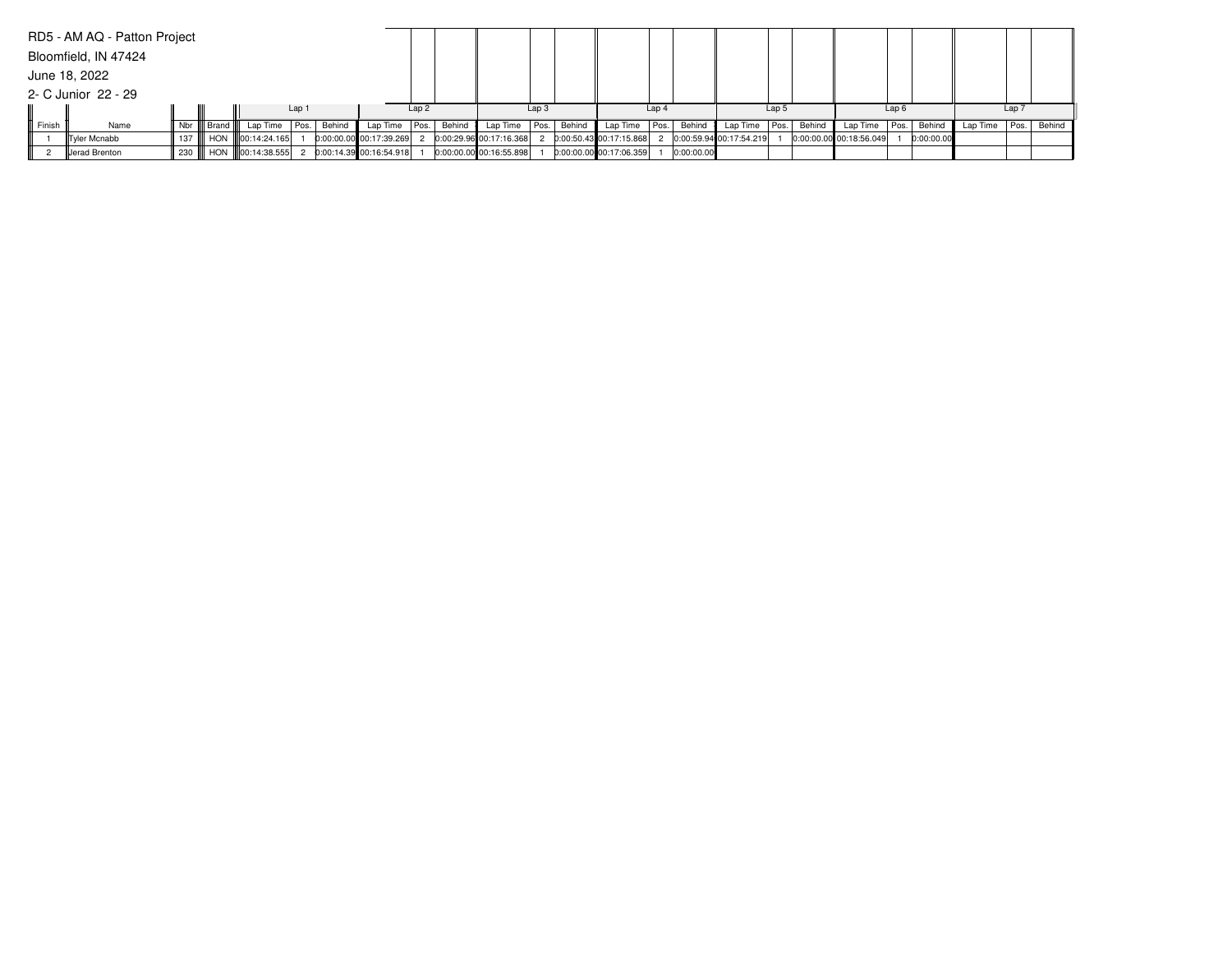|        | RD5 - AM AQ - Patton Project |  |                                 |        |                          |      |                         |                  |        |                           |                  |            |                           |       |        |                         |                  |            |                          |                  |  |
|--------|------------------------------|--|---------------------------------|--------|--------------------------|------|-------------------------|------------------|--------|---------------------------|------------------|------------|---------------------------|-------|--------|-------------------------|------------------|------------|--------------------------|------------------|--|
|        | Bloomfield, IN 47424         |  |                                 |        |                          |      |                         |                  |        |                           |                  |            |                           |       |        |                         |                  |            |                          |                  |  |
|        | June 18, 2022                |  |                                 |        |                          |      |                         |                  |        |                           |                  |            |                           |       |        |                         |                  |            |                          |                  |  |
|        | 2- C Junior 22 - 29          |  |                                 |        |                          |      |                         |                  |        |                           |                  |            |                           |       |        |                         |                  |            |                          |                  |  |
|        |                              |  |                                 | Lap 1  |                          | Lap2 |                         | Lap <sub>3</sub> |        |                           | Lap <sub>4</sub> |            |                           | Lap 5 |        |                         | Lap <sub>6</sub> |            |                          | Lap <sub>7</sub> |  |
| Finish | Name                         |  | Nbr    Brand    Lap Time   Pos. | Behind | Lap Time   Pos.   Behind |      | Lap Time $ Pos. $       |                  | Behind | Lap Time Pos.             |                  | Behind     | Lap Time   Pos.           |       | Behind | Lap Time   Pos.         |                  | Behind     | Lap Time   Pos.   Behind |                  |  |
|        | Tyler Mcnabb                 |  | 137    HON   00:14:24.165       |        | 0:00:00.00 00:17:39.269  |      | 0:00:29.96 00:17:16.368 |                  |        | 0:00:50.43 00:17:15.868   |                  |            | 2 0:00:59.94 00:17:54.219 |       |        | 0:00:00.00 00:18:56.049 |                  | 0:00:00.00 |                          |                  |  |
|        | Jerad Brenton                |  | 230    HON   00:14:38.555       |        | 0:00:14.39 00:16:54.918  |      | 0:00:00.00 00:16:55.898 |                  |        | $0:00:00.00$ 00:17:06.359 |                  | 0:00:00.00 |                           |       |        |                         |                  |            |                          |                  |  |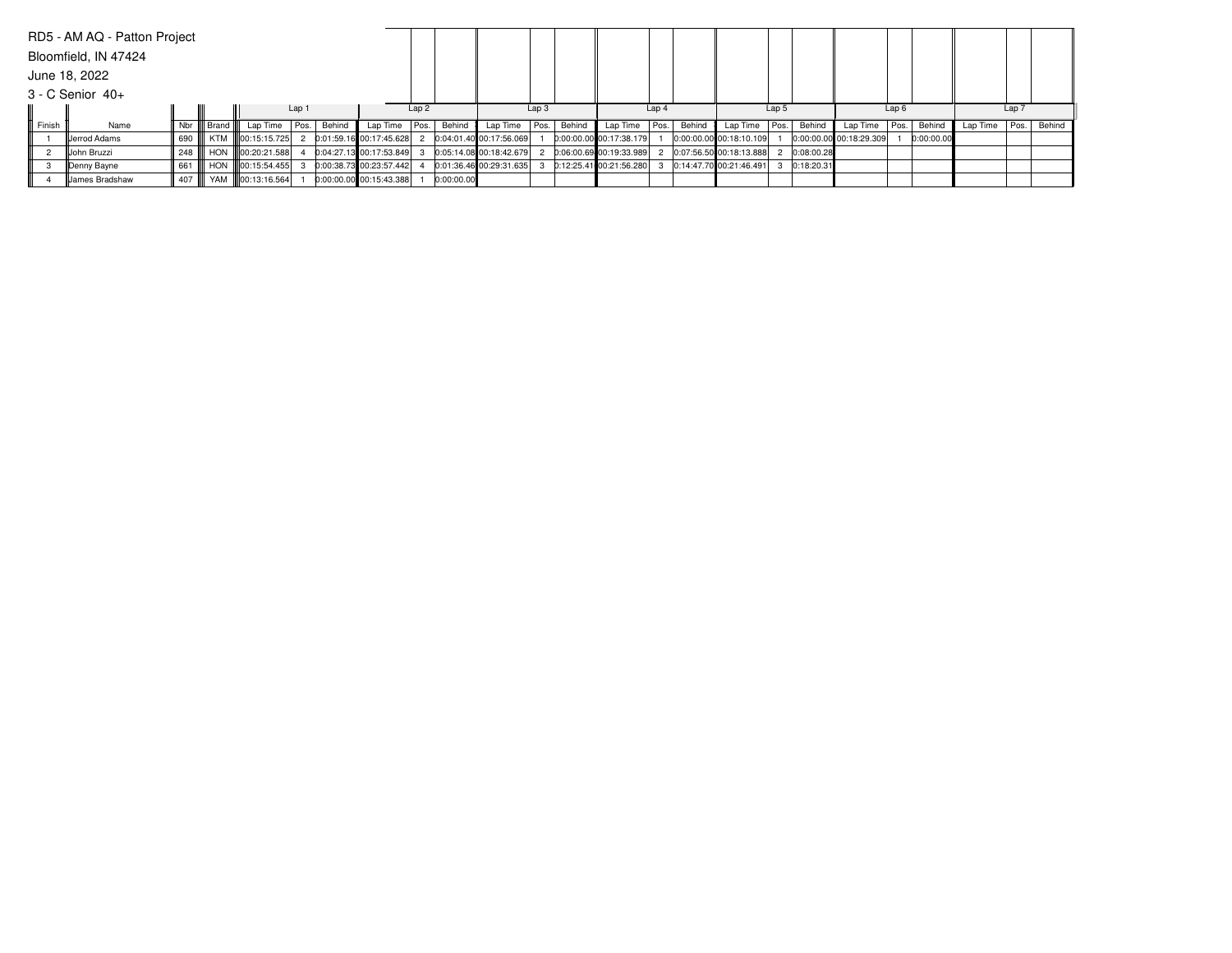|        | RD5 - AM AQ - Patton Project |         |              |                     |       |        |                           |      |            |                         |                  |        |                           |                  |        |                         |                  |            |                           |                  |            |          |       |        |
|--------|------------------------------|---------|--------------|---------------------|-------|--------|---------------------------|------|------------|-------------------------|------------------|--------|---------------------------|------------------|--------|-------------------------|------------------|------------|---------------------------|------------------|------------|----------|-------|--------|
|        | Bloomfield, IN 47424         |         |              |                     |       |        |                           |      |            |                         |                  |        |                           |                  |        |                         |                  |            |                           |                  |            |          |       |        |
|        | June 18, 2022                |         |              |                     |       |        |                           |      |            |                         |                  |        |                           |                  |        |                         |                  |            |                           |                  |            |          |       |        |
|        | $3 - C$ Senior $40+$         |         |              |                     |       |        |                           |      |            |                         |                  |        |                           |                  |        |                         |                  |            |                           |                  |            |          |       |        |
|        |                              |         |              |                     | Lap 1 |        |                           | Lap2 |            |                         | Lap <sub>3</sub> |        |                           | Lap <sub>4</sub> |        |                         | Lap <sub>5</sub> |            |                           | Lap <sub>6</sub> |            |          | Lap 7 |        |
| Finish | Name                         |         | Nbr    Brand | Lap Time   Pos.     |       | Behind | Lap Time $ Pos. $         |      | Behind     | Lap Time                | Pos.             | Behind | Lap Time                  | Pos.             | Behind | Lap Time                | Pos.             | Behind     | Lap Time   Pos.           |                  | Behind     | Lap Time | Pos.  | Behind |
|        | <b>IIJ</b> errod Adams       | 690     |              | KTM III00:15:15.725 |       |        | 0:01:59.16 00:17:45.628   |      |            | 0:04:01.40 00:17:56.069 |                  |        | 0:00:00.00 00:17:38.179   |                  |        | 0:00:00.00 00:18:10.109 |                  |            | $0:00:00.00$ 00:18:29.309 |                  | 0:00:00.00 |          |       |        |
|        | llJohn Bruzzi                | 248     |              | HON 100:20:21.588   |       |        | 0:04:27.13 00:17:53.849   |      |            | 0:05:14.08 00:18:42.679 |                  |        | $0:06:00.69$ 00:19:33.989 |                  |        | 0:07:56.50 00:18:13.888 |                  | 0:08:00.28 |                           |                  |            |          |       |        |
|        | ∥Denny Bayne                 | 661 III |              | HON 100:15:54.455   |       |        | 0:00:38.73 00:23:57.442   |      |            | 0:01:36.46 00:29:31.635 |                  |        | 0:12:25.41 00:21:56.280   |                  |        | 0:14:47.70 00:21:46.491 |                  | 0:18:20.31 |                           |                  |            |          |       |        |
|        | James Bradshaw               | 407 III |              | YAM   00:13:16.564  |       |        | $0:00:00.00$ 00:15:43.388 |      | 0:00:00.00 |                         |                  |        |                           |                  |        |                         |                  |            |                           |                  |            |          |       |        |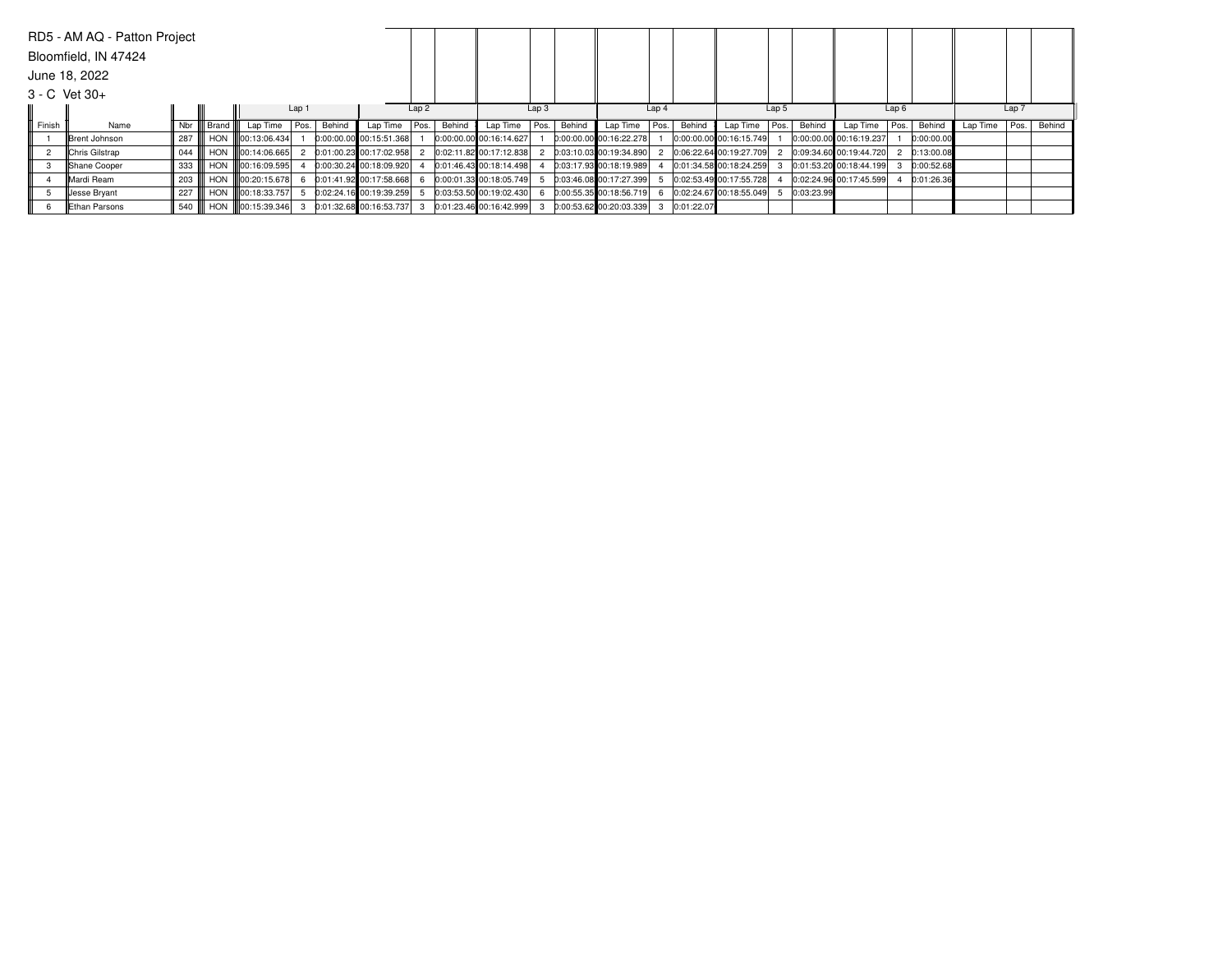|        | RD5 - AM AQ - Patton Project |     |                   |                             |        |        |                         |      |        |                         |                  |        |                           |                  |        |                         |                  |            |                         |      |            |          |       |        |
|--------|------------------------------|-----|-------------------|-----------------------------|--------|--------|-------------------------|------|--------|-------------------------|------------------|--------|---------------------------|------------------|--------|-------------------------|------------------|------------|-------------------------|------|------------|----------|-------|--------|
|        | Bloomfield, IN 47424         |     |                   |                             |        |        |                         |      |        |                         |                  |        |                           |                  |        |                         |                  |            |                         |      |            |          |       |        |
|        | June 18, 2022                |     |                   |                             |        |        |                         |      |        |                         |                  |        |                           |                  |        |                         |                  |            |                         |      |            |          |       |        |
|        | $3 - C$ Vet $30 +$           |     |                   |                             |        |        |                         |      |        |                         |                  |        |                           |                  |        |                         |                  |            |                         |      |            |          |       |        |
|        |                              |     |                   |                             | Lap 1  |        |                         | Lap2 |        |                         | Lap <sub>3</sub> |        |                           | Lap <sub>4</sub> |        |                         | Lap <sub>5</sub> |            |                         | Lap6 |            |          | Lap 7 |        |
| Finish | Name                         |     | Nbr III Brand III | Lap Time                    | I Pos. | Behind | Lap Time                | Pos. | Behind | Lap Time                | Pos.             | Behind | Lap Time                  | Pos.             | Behind | Lap Time                | Pos.             | Behind     | Lap Time   Pos.         |      | Behind     | Lap Time | Pos.  | Behind |
|        | Brent Johnson                | 287 |                   | HON <b>III</b> 00:13:06.434 |        |        | 0:00:00.00 00:15:51.368 |      |        | 0:00:00.00 00:16:14.627 |                  |        | 0:00:00.00 00:16:22.278   |                  |        | 0:00:00.00 00:16:15.749 |                  |            | 0:00:00.00 00:16:19.237 |      | 0:00:00.00 |          |       |        |
|        | Chris Gilstrap               | 044 |                   | HON 100:14:06.665           |        |        | 0:01:00.23 00:17:02.958 |      |        | 0:02:11.82 00:17:12.838 |                  |        | $0:03:10.03$ 00:19:34.890 |                  |        | 0:06:22.64 00:19:27.709 |                  |            | 0:09:34.60 00:19:44.720 |      | 0:13:00.08 |          |       |        |
|        | Shane Cooper                 | 333 |                   | HON III00:16:09.595         |        |        | 0:00:30.24 00:18:09.920 |      |        | 0:01:46.43 00:18:14.498 |                  |        | 0:03:17.93 00:18:19.989   |                  |        | 0:01:34.58 00:18:24.259 |                  |            | 0:01:53.20 00:18:44.199 |      | 0:00:52.68 |          |       |        |
|        |                              |     |                   | HON 100:20:15.678           |        |        | 0:01:41.92 00:17:58.668 |      |        | 0:00:01.33 00:18:05.749 |                  |        | 0:03:46.08 00:17:27.399   |                  |        | 0:02:53.49 00:17:55.728 |                  |            | 0:02:24.96 00:17:45.599 |      | 0:01:26.36 |          |       |        |
|        | Mardi Ream                   | 203 |                   |                             |        |        |                         |      |        |                         |                  |        |                           |                  |        |                         |                  |            |                         |      |            |          |       |        |
|        | Jesse Bryant                 | 227 |                   | HON <b>100:18:33.757</b>    |        |        | 0:02:24.16 00:19:39.259 |      |        | 0:03:53.50 00:19:02.430 |                  |        | $0:00:55.35$ 00:18:56.719 |                  |        | 0:02:24.67 00:18:55.049 |                  | 0:03:23.99 |                         |      |            |          |       |        |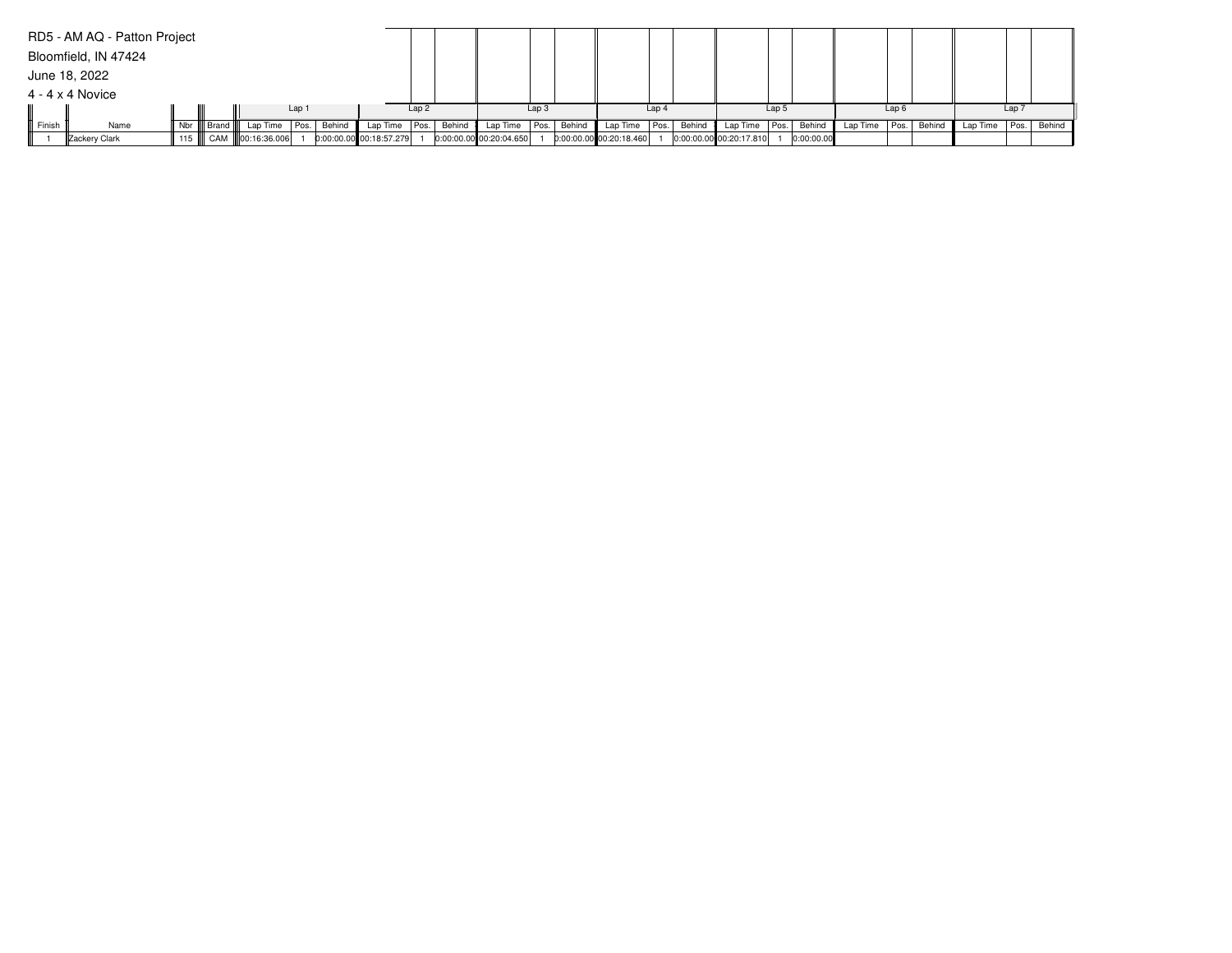|        | RD5 - AM AQ - Patton Project |              |                           |       |        |                         |      |        |                           |                  |        |                         |                  |        |                         |       |            |                 |                  |        |          |                  |             |
|--------|------------------------------|--------------|---------------------------|-------|--------|-------------------------|------|--------|---------------------------|------------------|--------|-------------------------|------------------|--------|-------------------------|-------|------------|-----------------|------------------|--------|----------|------------------|-------------|
|        | Bloomfield, IN 47424         |              |                           |       |        |                         |      |        |                           |                  |        |                         |                  |        |                         |       |            |                 |                  |        |          |                  |             |
|        | June 18, 2022                |              |                           |       |        |                         |      |        |                           |                  |        |                         |                  |        |                         |       |            |                 |                  |        |          |                  |             |
|        | $4 - 4 \times 4$ Novice      |              |                           |       |        |                         |      |        |                           |                  |        |                         |                  |        |                         |       |            |                 |                  |        |          |                  |             |
|        |                              |              |                           | Lap 1 |        |                         | Lap2 |        |                           | Lap <sub>3</sub> |        |                         | Lap <sub>4</sub> |        |                         | Lap 5 |            |                 | Lap <sub>6</sub> |        |          | Lap <sub>7</sub> |             |
| Finish | Name                         | Nbr    Brand | Lap Time                  | Pos.  | Behind | Lap Time                | Pos. | Behind | Lap Time                  | Pos.             | Behind | Lap Time                | Pos.             | Behind | Lap Time                | Pos.  | Behind     | Lap Time   Pos. |                  | Behind | Lap Time |                  | Pos. Behind |
|        | Zackery Clark                |              | 115    CAM   00:16:36.006 |       |        | 0:00:00.00 00:18:57.279 |      |        | $0:00:00.00$ 00:20:04.650 |                  |        | 0:00:00.00 00:20:18.460 |                  |        | 0:00:00.00 00:20:17.810 |       | 0:00:00.00 |                 |                  |        |          |                  |             |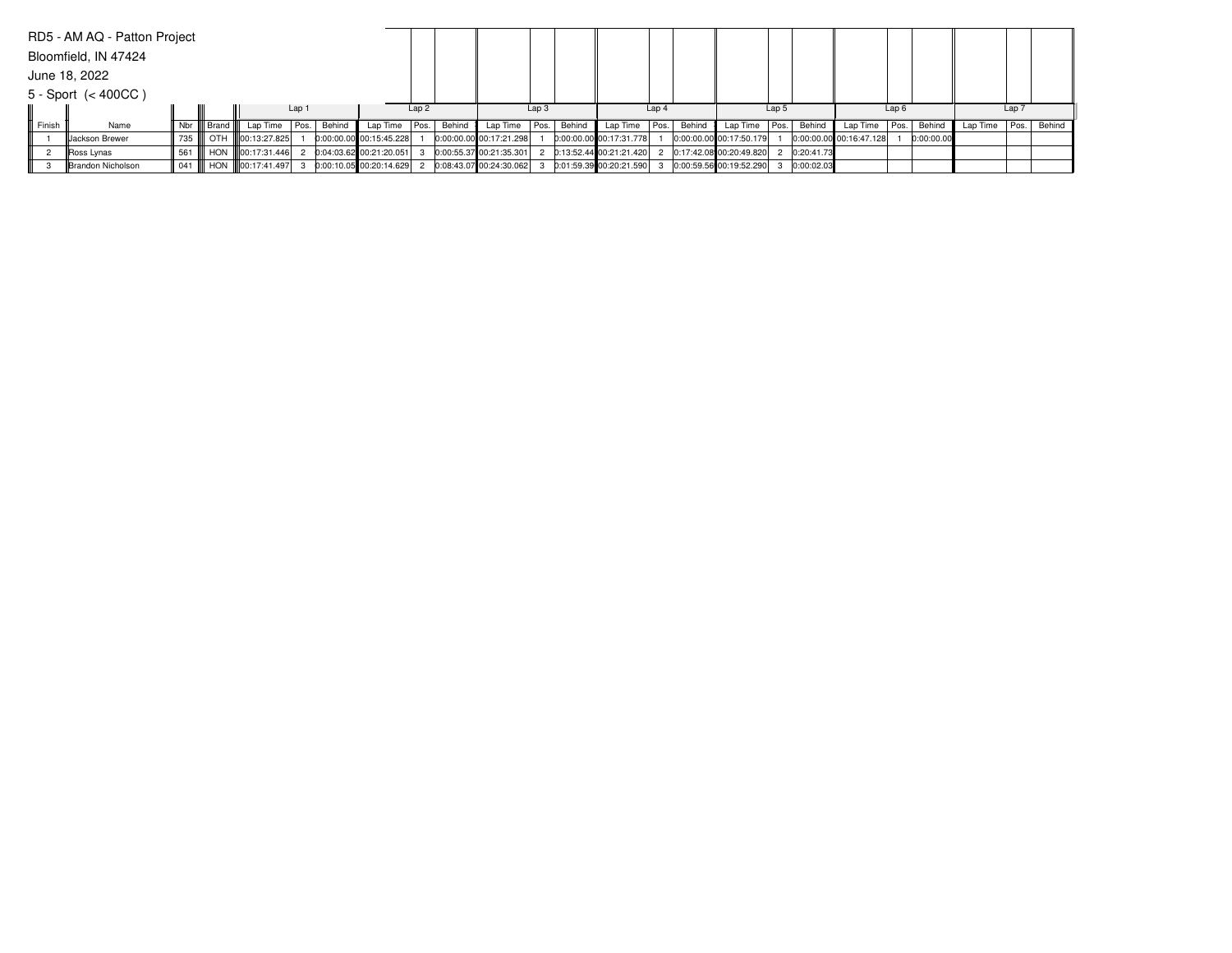|        | RD5 - AM AQ - Patton Project |         |              |                   |        |                           |      |        |                           |                  |        |                         |                  |        |                           |       |            |                         |                  |            |          |                  |        |
|--------|------------------------------|---------|--------------|-------------------|--------|---------------------------|------|--------|---------------------------|------------------|--------|-------------------------|------------------|--------|---------------------------|-------|------------|-------------------------|------------------|------------|----------|------------------|--------|
|        | Bloomfield, IN 47424         |         |              |                   |        |                           |      |        |                           |                  |        |                         |                  |        |                           |       |            |                         |                  |            |          |                  |        |
|        | June 18, 2022                |         |              |                   |        |                           |      |        |                           |                  |        |                         |                  |        |                           |       |            |                         |                  |            |          |                  |        |
|        | $5 -$ Sport $(< 400CC)$      |         |              |                   |        |                           |      |        |                           |                  |        |                         |                  |        |                           |       |            |                         |                  |            |          |                  |        |
|        |                              |         |              |                   | Lap 1  |                           | Lap2 |        |                           | Lap <sub>3</sub> |        |                         | Lap <sub>4</sub> |        |                           | Lap 5 |            |                         | Lap <sub>6</sub> |            |          | Lap <sub>7</sub> |        |
| Finish | Name                         |         | Nbr    Brand | Lap Time   Pos.   | Behind | Lap Time   Pos.           |      | Behind | Lap Time                  | Pos.             | Behind | Lap Time                | Pos.             | Behind | Lap Time   Pos.           |       | Behind     | Lap Time   Pos.         |                  | Behind     | Lap Time | Pos.             | Behind |
|        | <b>IIJackson Brewer</b>      | 735     |              | OTH 100:13:27.825 |        | 0:00:00.00 00:15:45.228   |      |        | 0:00:00.00 00:17:21.298   |                  |        | 0:00:00.00 00:17:31.778 |                  |        | 0:00:00.00 00:17:50.179   |       |            | 0:00:00.00 00:16:47.128 |                  | 0:00:00.00 |          |                  |        |
|        | Ross Lynas                   | 561 III |              | HON 100:17:31.446 |        | $0:04:03.62$ 00:21:20.051 |      |        | $0:00:55.37$ 00:21:35.301 |                  |        | 0:13:52.44 00:21:21.420 |                  |        | 2 0:17:42.08 00:20:49.820 |       | 0:20:41.73 |                         |                  |            |          |                  |        |
|        | Brandon Nicholson            | 041 III |              | HON 100:17:41.497 |        | 0:00:10.05 00:20:14.629   |      |        | 0:08:43.07 00:24:30.062   |                  |        | 0:01:59.39 00:20:21.590 |                  |        | 0:00:59.56 00:19:52.290   |       | 0:00:02.03 |                         |                  |            |          |                  |        |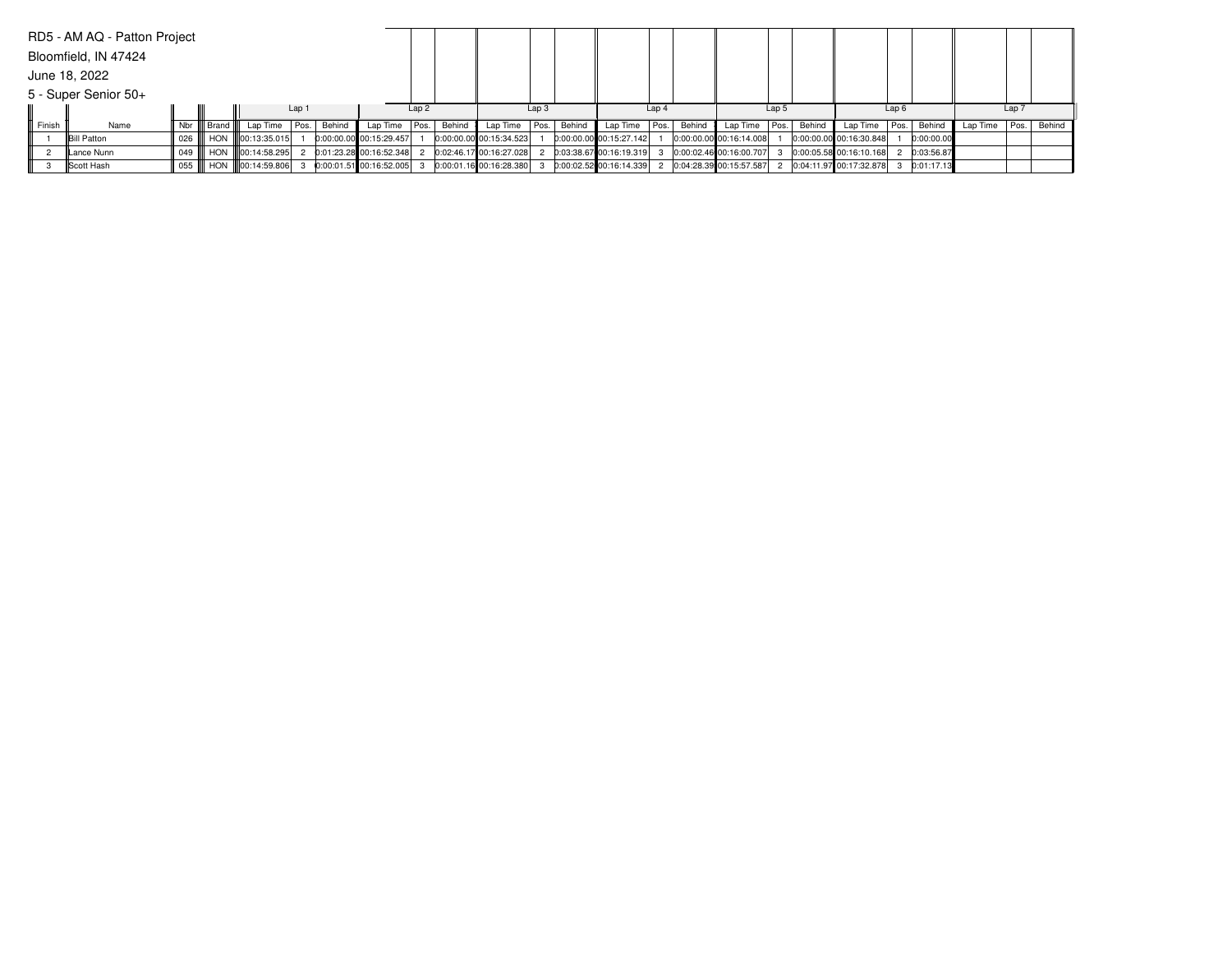|        | RD5 - AM AQ - Patton Project |         |              |                           |        |                           |      |        |                           |                  |        |                           |                  |        |                             |       |        |                               |                  |            |          |                  |        |
|--------|------------------------------|---------|--------------|---------------------------|--------|---------------------------|------|--------|---------------------------|------------------|--------|---------------------------|------------------|--------|-----------------------------|-------|--------|-------------------------------|------------------|------------|----------|------------------|--------|
|        | Bloomfield, IN 47424         |         |              |                           |        |                           |      |        |                           |                  |        |                           |                  |        |                             |       |        |                               |                  |            |          |                  |        |
|        | June 18, 2022                |         |              |                           |        |                           |      |        |                           |                  |        |                           |                  |        |                             |       |        |                               |                  |            |          |                  |        |
|        | 5 - Super Senior 50+         |         |              |                           |        |                           |      |        |                           |                  |        |                           |                  |        |                             |       |        |                               |                  |            |          |                  |        |
|        |                              |         |              |                           | Lap 1  |                           | Lap2 |        |                           | Lap <sub>3</sub> |        |                           | Lap <sub>4</sub> |        |                             | Lap 5 |        |                               | Lap <sub>6</sub> |            |          | Lap <sub>7</sub> |        |
| Finish | Name                         |         | Nbr    Brand | Lap Time Pos.             | Behind | Lap Time   Pos.           |      | Behind | Lap Time                  | Pos.             | Behind | Lap Time                  | Pos.             | Behind | Lap Time   Pos.             |       | Behind | Lap Time   Pos.               |                  | Behind     | Lap Time | Pos.             | Behind |
|        | <b>Bill Patton</b>           | 026 III |              | HON III00:13:35.015       |        | 0:00:00.00 00:15:29.457   |      |        | 0:00:00.00 00:15:34.523   |                  |        | 0:00:00.00000:15:27.142   |                  |        | 0:00:00.00 00:16:14.008     |       |        | $0:00:00.00$ 00:16:30.848     |                  | 0:00:00.00 |          |                  |        |
|        | Lance Nunn                   | 049 III |              | HON 100:14:58.295         |        | 0:01:23.28 00:16:52.348   |      |        | 0:02:46.17 00:16:27.028   |                  |        | 0:03:38.67 00:16:19.319   |                  |        | 0:00:02.46 00:16:00.707     |       |        | 0:00:05.58 00:16:10.168       |                  | 0:03:56.87 |          |                  |        |
|        | Scott Hash                   |         |              | 055    HON   00:14:59.806 |        | $0:00:01.51$ 00:16:52.005 |      |        | $0:00:01.16$ 00:16:28.380 |                  |        | $0:00:02.52$ 00:16:14.339 |                  |        | 2 0:04:28.39 00:15:57.587 2 |       |        | $ 0:04:11.97 00:17:32.878 $ 3 |                  | 0:01:17.13 |          |                  |        |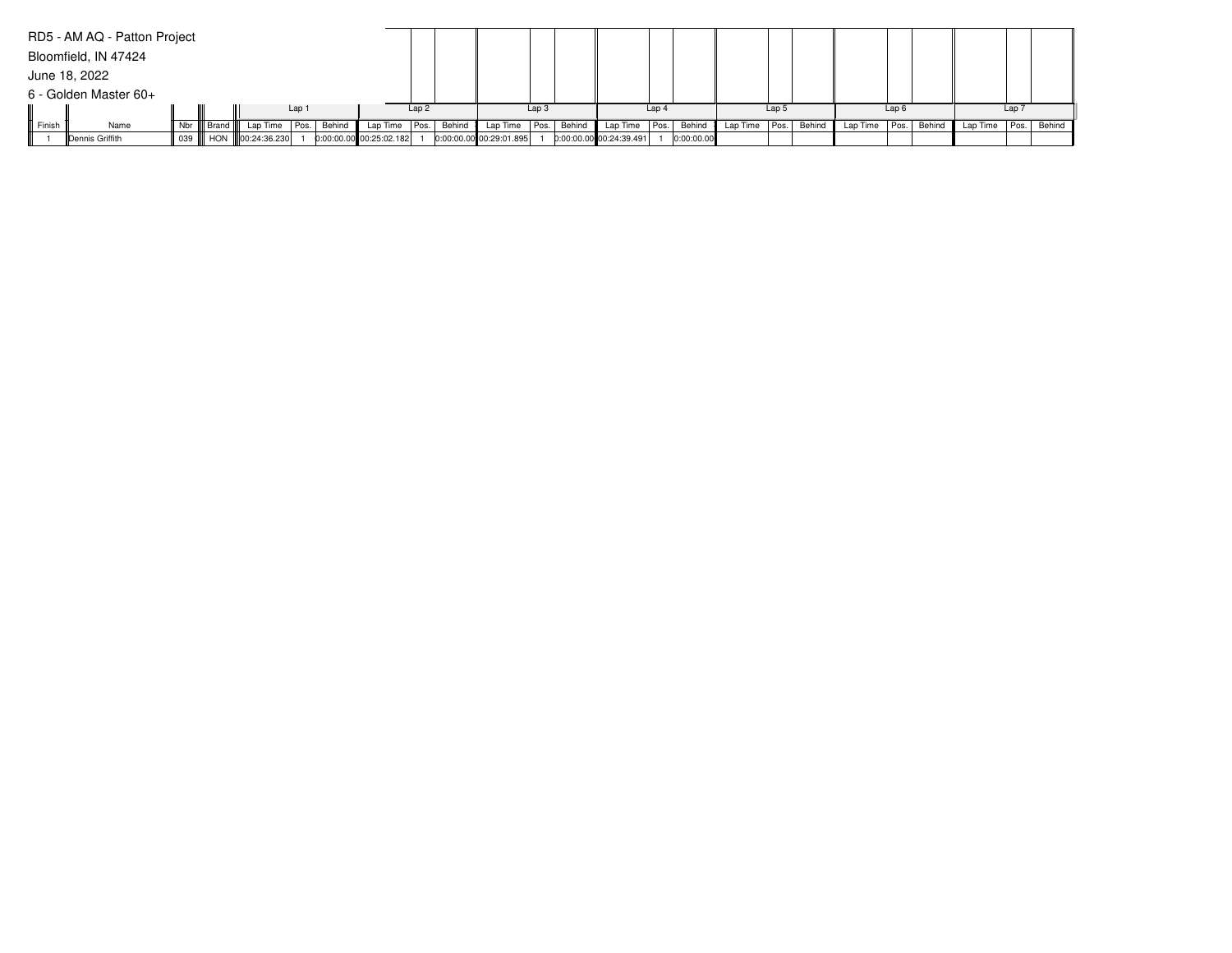|        | RD5 - AM AQ - Patton Project |              |                           |       |        |                         |      |        |                           |                  |        |                           |                  |            |                   |       |        |               |                  |        |          |                  |        |
|--------|------------------------------|--------------|---------------------------|-------|--------|-------------------------|------|--------|---------------------------|------------------|--------|---------------------------|------------------|------------|-------------------|-------|--------|---------------|------------------|--------|----------|------------------|--------|
|        | Bloomfield, IN 47424         |              |                           |       |        |                         |      |        |                           |                  |        |                           |                  |            |                   |       |        |               |                  |        |          |                  |        |
|        | June 18, 2022                |              |                           |       |        |                         |      |        |                           |                  |        |                           |                  |            |                   |       |        |               |                  |        |          |                  |        |
|        | 6 - Golden Master 60+        |              |                           |       |        |                         |      |        |                           |                  |        |                           |                  |            |                   |       |        |               |                  |        |          |                  |        |
|        |                              |              |                           | Lap 1 |        |                         | Lap2 |        |                           | Lap <sub>3</sub> |        |                           | Lap <sub>4</sub> |            |                   | Lap 5 |        |               | Lap <sub>6</sub> |        |          | Lap <sub>7</sub> |        |
| Finish | Name                         | Nbr    Brand | Lap Time                  | Pos.  | Behind | Lap Time   Pos.         |      | Behind | Lap Time                  | Pos.             | Behind | Lap Time                  | Pos.             | Behind     | Lap Time $ Pos. $ |       | Behind | Lap Time Pos. |                  | Behind | Lap Time | l Pos. l         | Behind |
|        | Dennis Griffith              |              | 039    HON   00:24:36.230 |       |        | 0:00:00.00 00:25:02.182 |      |        | $0:00:00.00$ 00:29:01.895 |                  |        | $0:00:00.00$ 00:24:39.491 |                  | 0:00:00.00 |                   |       |        |               |                  |        |          |                  |        |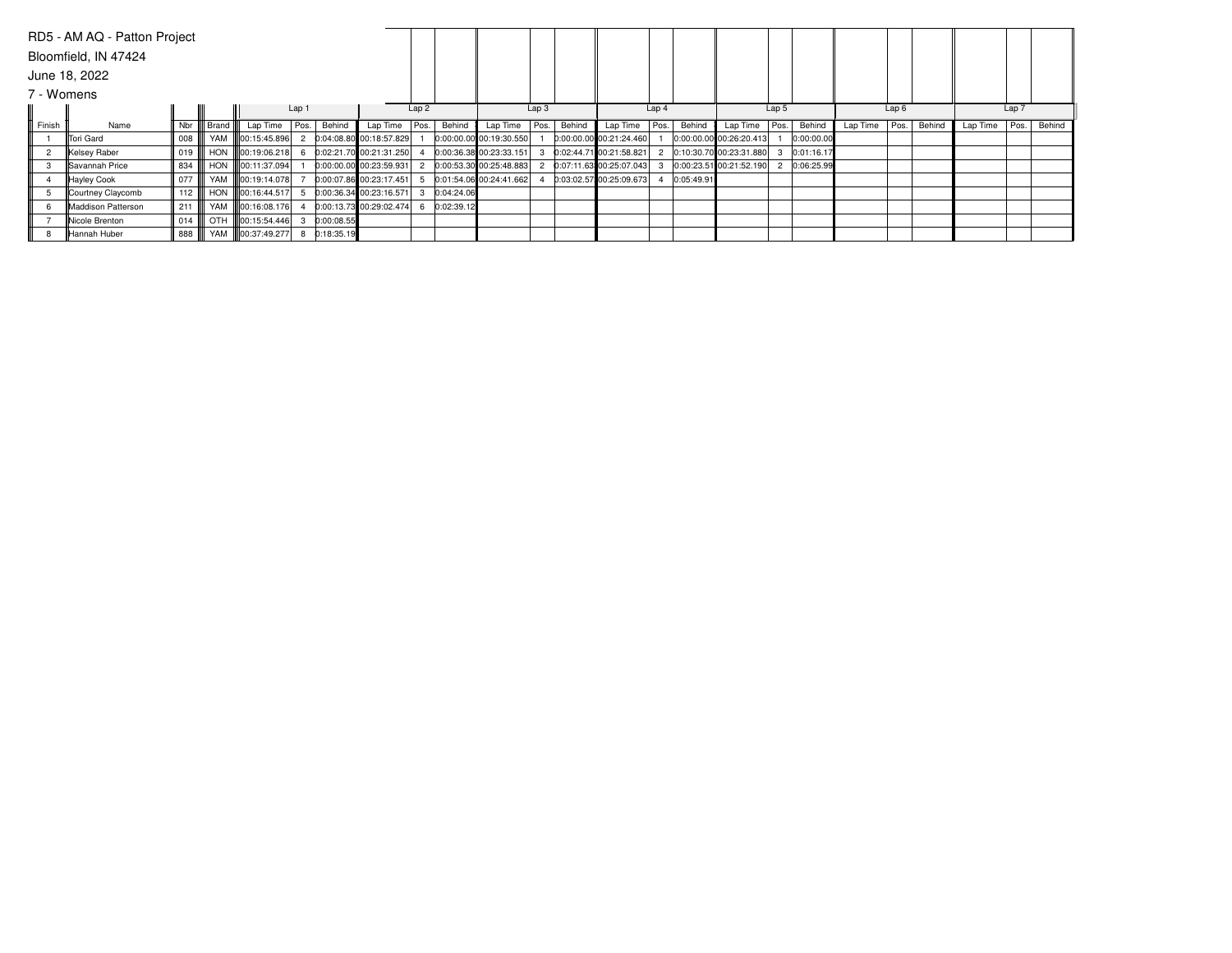|            | RD5 - AM AQ - Patton Project |     |       |                          |       |            |                         |      |            |                           |                  |        |                         |                  |            |                         |                  |            |          |      |        |          |       |        |
|------------|------------------------------|-----|-------|--------------------------|-------|------------|-------------------------|------|------------|---------------------------|------------------|--------|-------------------------|------------------|------------|-------------------------|------------------|------------|----------|------|--------|----------|-------|--------|
|            | Bloomfield, IN 47424         |     |       |                          |       |            |                         |      |            |                           |                  |        |                         |                  |            |                         |                  |            |          |      |        |          |       |        |
|            | June 18, 2022                |     |       |                          |       |            |                         |      |            |                           |                  |        |                         |                  |            |                         |                  |            |          |      |        |          |       |        |
| 7 - Womens |                              |     |       |                          |       |            |                         |      |            |                           |                  |        |                         |                  |            |                         |                  |            |          |      |        |          |       |        |
|            |                              |     |       |                          | Lap 1 |            |                         | Lap2 |            |                           | Lap <sub>3</sub> |        |                         | Lap <sub>4</sub> |            |                         | Lap <sub>5</sub> |            |          | Lap6 |        |          | Lap 7 |        |
| Finish     | Name                         | Nbr | Brand | Lap Time Pos.            |       | Behind     | Lap Time                | Pos. | Behind     | Lap Time                  | Pos.             | Behind | Lap Time                | Pos.             | Behind     | Lap Time                | Pos.             | Behind     | Lap Time | Pos. | Behind | Lap Time | Pos.  | Behind |
|            | Tori Gard                    | 008 |       | YAM   00:15:45.896       |       |            | 0:04:08.80 00:18:57.829 |      |            | 0:00:00.00 00:19:30.550   |                  |        | 0:00:00.00 00:21:24.460 |                  |            | 0:00:00.00 00:26:20.413 |                  | 0:00:00.00 |          |      |        |          |       |        |
|            | Kelsey Raber                 | 019 |       | HON 100:19:06.218        |       |            | 0:02:21.70 00:21:31.250 |      |            | 0:00:36.38 00:23:33.151   |                  |        | 0:02:44.71 00:21:58.821 |                  |            | 0:10:30.70 00:23:31.880 |                  | 0:01:16.17 |          |      |        |          |       |        |
| 3          | Savannah Price               | 834 |       | HON 100:11:37.094        |       |            | 0:00:00.00 00:23:59.931 |      |            | $0:00:53.30$ 00:25:48.883 |                  |        | 0:07:11.63 00:25:07.043 |                  |            | 0:00:23.51 00:21:52.190 |                  | 0:06:25.99 |          |      |        |          |       |        |
|            | Hayley Cook                  | 077 |       | YAM 100:19:14.078        |       |            | 0:00:07.86 00:23:17.451 |      |            | 0:01:54.06 00:24:41.662   |                  |        | 0:03:02.57 00:25:09.673 |                  | 0:05:49.91 |                         |                  |            |          |      |        |          |       |        |
|            | Courtney Claycomb            | 112 |       | HON <b>100:16:44.517</b> |       |            | 0:00:36.34 00:23:16.571 |      | 0:04:24.06 |                           |                  |        |                         |                  |            |                         |                  |            |          |      |        |          |       |        |
|            | Maddison Patterson           | 211 |       | YAM 800:16:08.176        |       |            | 0:00:13.73 00:29:02.474 |      | 0:02:39.12 |                           |                  |        |                         |                  |            |                         |                  |            |          |      |        |          |       |        |
|            | Nicole Brenton               | 014 |       | OTH 100:15:54.446        |       | 0:00:08.55 |                         |      |            |                           |                  |        |                         |                  |            |                         |                  |            |          |      |        |          |       |        |
|            | Hannah Huber                 | 888 |       | YAM   00:37:49.277       |       | 0:18:35.19 |                         |      |            |                           |                  |        |                         |                  |            |                         |                  |            |          |      |        |          |       |        |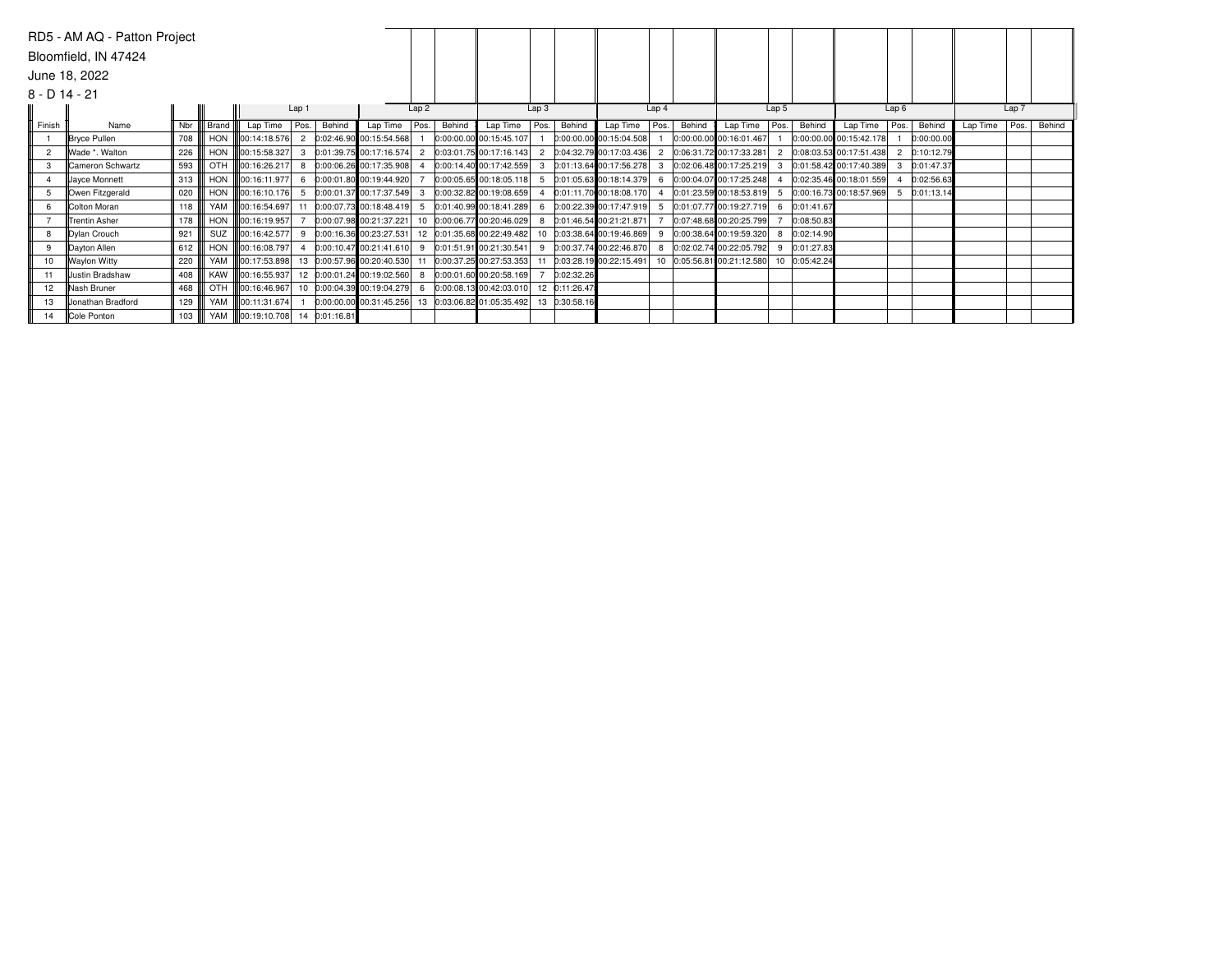|                 | RD5 - AM AQ - Patton Project |     |            |                          |                |                            |                |        |                                                          |                  |               |                            |                  |        |                            |                  |            |                               |                |            |          |                  |        |
|-----------------|------------------------------|-----|------------|--------------------------|----------------|----------------------------|----------------|--------|----------------------------------------------------------|------------------|---------------|----------------------------|------------------|--------|----------------------------|------------------|------------|-------------------------------|----------------|------------|----------|------------------|--------|
|                 | Bloomfield, IN 47424         |     |            |                          |                |                            |                |        |                                                          |                  |               |                            |                  |        |                            |                  |            |                               |                |            |          |                  |        |
|                 | June 18, 2022                |     |            |                          |                |                            |                |        |                                                          |                  |               |                            |                  |        |                            |                  |            |                               |                |            |          |                  |        |
| $8 - D$ 14 - 21 |                              |     |            |                          |                |                            |                |        |                                                          |                  |               |                            |                  |        |                            |                  |            |                               |                |            |          |                  |        |
|                 |                              |     |            |                          | Lap 1          |                            | Lap2           |        |                                                          | Lap <sub>3</sub> |               |                            | Lap <sub>4</sub> |        |                            | Lap <sub>5</sub> |            |                               | Lap6           |            |          | Lap <sub>7</sub> |        |
| Finish          | Name                         | Nbr | Brand      | Lap Time Pos.            | Behind         | Lap Time                   | Pos.           | Behind | Lap Time                                                 | Pos.             | Behind        | Lap Time                   | Pos.             | Behind | Lap Time                   | Pos.             | Behind     | Lap Time $ Pos.$              |                | Behind     | Lap Time | Pos.             | Behind |
|                 | Bryce Pullen                 | 708 | HON        | 00:14:18.576             | $\overline{2}$ | 0:02:46.90 00:15:54.568    |                |        | 0:00:00.00 00:15:45.107                                  |                  |               | $0:00:00.00$ 00:15:04.508  |                  |        | 0:00:00.00 00:16:01.467    |                  |            | $0:00:00.00$ 00:15:42.178     |                | 0:00:00.00 |          |                  |        |
|                 | Wade *. Walton               | 226 |            | HON <b>100:15:58.327</b> |                | 0:01:39.75 00:17:16.574    | $\overline{2}$ |        | 0:03:01.75 00:17:16.143                                  |                  |               | 0:04:32.79 00:17:03.436    | $\overline{2}$   |        | 0:06:31.72 00:17:33.281    | $\overline{2}$   |            | 0:08:03.53 00:17:51.438       | $\overline{2}$ | 0:10:12.79 |          |                  |        |
| 3               | Cameron Schwartz             | 593 |            | OTH <b>100:16:26.217</b> | 8              | 0:00:06.26 00:17:35.908    |                |        | 0:00:14.40 00:17:42.559                                  | 3                |               | 0:01:13.64 00:17:56.278    |                  |        | 3 0:02:06.48 00:17:25.219  |                  |            | $ 0:01:58.42 00:17:40.389 $ 3 |                | 0:01:47.37 |          |                  |        |
|                 | Jayce Monnett                | 313 | <b>HON</b> | 00:16:11.977             |                | 0:00:01.80 00:19:44.920    |                |        | 0:00:05.65 00:18:05.118                                  |                  |               | $0:01:05.63$ 00:18:14.379  | 6                |        | 0:00:04.07 00:17:25.248    |                  |            | $0:02:35.46$ 00:18:01.559     |                | 0:02:56.63 |          |                  |        |
| .5              | Owen Fitzgerald              | 020 |            | HON <b>00:16:10.176</b>  |                | 0:00:01.37 00:17:37.549    | $\mathbf{3}$   |        | 0:00:32.82 00:19:08.659                                  |                  |               | 0:01:11.70 00:18:08.170    | 4                |        | 0:01:23.59 00:18:53.819    |                  |            | 0:00:16.73 00:18:57.969 5     |                | 0:01:13.14 |          |                  |        |
| 6.              | Colton Moran                 | 118 |            | YAM   00:16:54.697       |                | 0:00:07.73 00:18:48.419    | -5             |        | 0:01:40.99 00:18:41.289                                  |                  |               | 0:00:22.39 00:17:47.919    |                  |        | 5 0:01:07.77 00:19:27.719  | 6                | 0:01:41.67 |                               |                |            |          |                  |        |
|                 | Trentin Asher                | 178 |            | HON 00:16:19.957         |                | 0:00:07.98 00:21:37.221    |                |        | 10 0:00:06.77 00:20:46.029                               |                  |               | 0:01:46.54 00:21:21.871    |                  |        | 0:07:48.68 00:20:25.799    |                  | 0:08:50.83 |                               |                |            |          |                  |        |
|                 | Dylan Crouch                 | 921 | SUZ        | 00:16:42.577             |                | 0:00:16.36 00:23:27.531    |                |        | 12 0:01:35.68 00:22:49.482                               |                  |               | 10 0:03:38.64 00:19:46.869 | 9                |        | 0:00:38.64 00:19:59.320    |                  | 0:02:14.90 |                               |                |            |          |                  |        |
| 9               | Dayton Allen                 | 612 |            | HON <b>0</b> :16:08.797  |                | 0:00:10.47 00:21:41.610    |                |        | 9 0:01:51.91 00:21:30.541                                | q                |               | 0:00:37.74 00:22:46.870    | 8                |        | 0:02:02.74 00:22:05.792    | <b>q</b>         | 0:01:27.83 |                               |                |            |          |                  |        |
|                 | <b>Waylon Witty</b>          | 220 |            | YAM   00:17:53.898       |                | 13 0:00:57.96 00:20:40.530 |                |        | 11 0:00:37.25 00:27:53.353                               |                  |               | 0:03:28.19 00:22:15.491    |                  |        | 10 0:05:56.81 00:21:12.580 | 10               | 0:05:42.24 |                               |                |            |          |                  |        |
|                 | Justin Bradshaw              | 408 |            | KAW 00:16:55.937         |                | 12 0:00:01.24 00:19:02.560 |                |        | 8 0:00:01.60 00:20:58.169                                |                  | 0:02:32.26    |                            |                  |        |                            |                  |            |                               |                |            |          |                  |        |
| 12 <sup>°</sup> | <b>Nash Bruner</b>           | 468 | <b>OTH</b> | 00:16:46.967             |                | 10 0:00:04.39 00:19:04.279 |                |        | 6 0:00:08.13 00:42:03.010                                |                  | 12 0:11:26.47 |                            |                  |        |                            |                  |            |                               |                |            |          |                  |        |
| 13              | Uonathan Bradford            | 129 |            | YAM   00:11:31.674       |                |                            |                |        | $0:00:00.00$ $00:31:45.256$ 13 $0:03:06.82$ 01:05:35.492 |                  | 13 0:30:58.16 |                            |                  |        |                            |                  |            |                               |                |            |          |                  |        |
| 14              | Cole Ponton                  | 103 |            | YAM   00:19:10.708 14    | 0:01:16.81     |                            |                |        |                                                          |                  |               |                            |                  |        |                            |                  |            |                               |                |            |          |                  |        |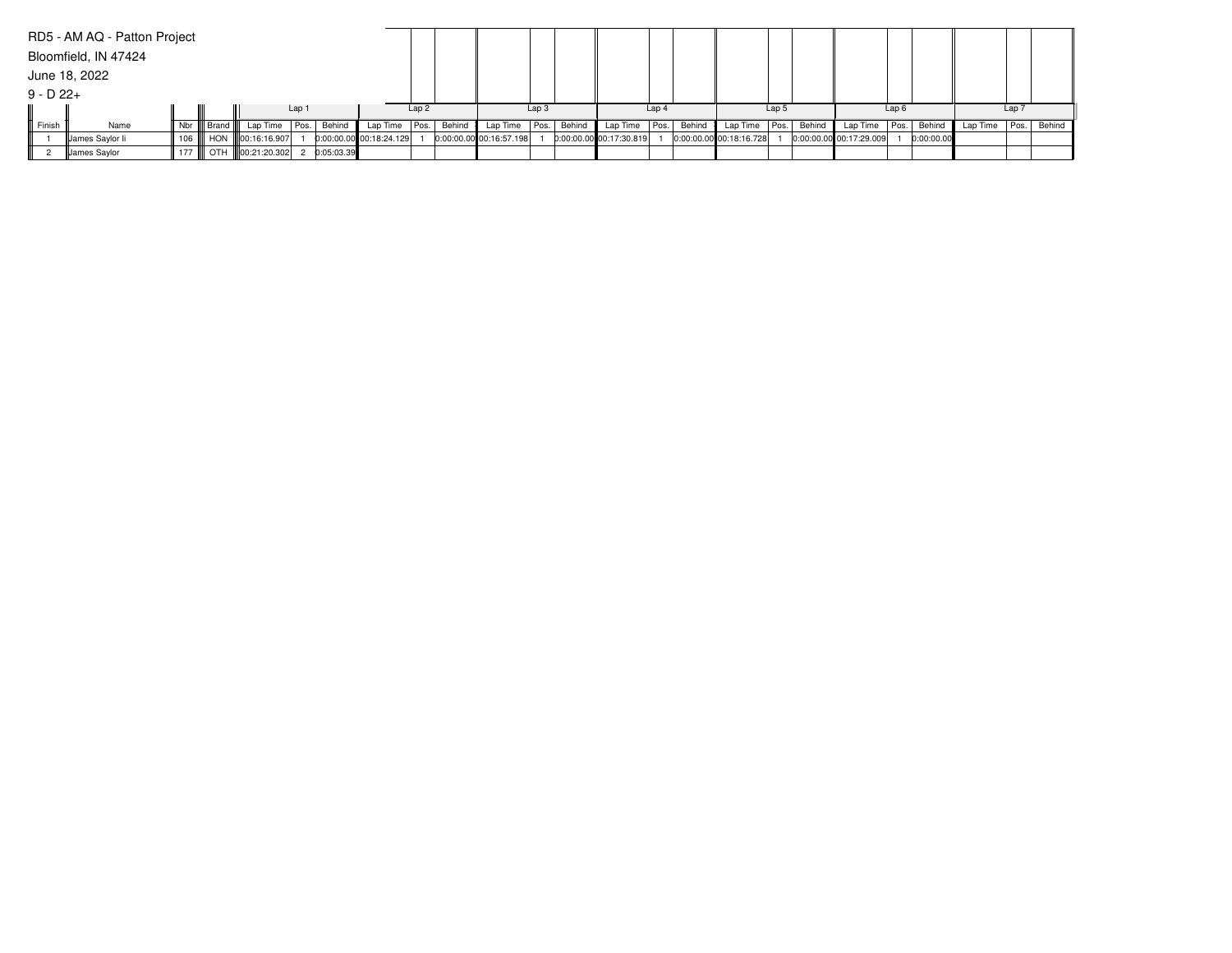|              | RD5 - AM AQ - Patton Project |         |              |                   |            |                         |                  |        |                         |                  |        |                         |                  |        |                         |       |        |                           |                  |            |          |                  |             |
|--------------|------------------------------|---------|--------------|-------------------|------------|-------------------------|------------------|--------|-------------------------|------------------|--------|-------------------------|------------------|--------|-------------------------|-------|--------|---------------------------|------------------|------------|----------|------------------|-------------|
|              | Bloomfield, IN 47424         |         |              |                   |            |                         |                  |        |                         |                  |        |                         |                  |        |                         |       |        |                           |                  |            |          |                  |             |
|              | June 18, 2022                |         |              |                   |            |                         |                  |        |                         |                  |        |                         |                  |        |                         |       |        |                           |                  |            |          |                  |             |
| $9 - D 22 +$ |                              |         |              |                   |            |                         |                  |        |                         |                  |        |                         |                  |        |                         |       |        |                           |                  |            |          |                  |             |
|              |                              |         |              |                   | Lap 1      |                         | Lap <sub>2</sub> |        |                         | Lap <sub>3</sub> |        |                         | Lap <sub>4</sub> |        |                         | Lap 5 |        |                           | Lap <sub>6</sub> |            |          | Lap <sub>7</sub> |             |
| Finish       | Name                         |         | Nbr    Brand | Lap Time Pos.     | Behind     | Lap Time   Pos.         |                  | Behind | Lap Time $ Pos. $       |                  | Behind | Lap Time   Pos.         |                  | Behind | Lap Time   Pos.         |       | Behind | Lap Time   Pos.           |                  | Behind     | Lap Time |                  | Pos. Behind |
|              | James Saylor li              | 106 III |              | HON 100:16:16.907 |            | 0:00:00.00 00:18:24.129 |                  |        | 0:00:00.00 00:16:57.198 |                  |        | 0:00:00.00 00:17:30.819 |                  |        | 0:00:00.00 00:18:16.728 |       |        | $0:00:00.00$ 00:17:29.009 |                  | 0:00:00.00 |          |                  |             |
|              | James Saylor                 | 177 III |              | OTH 100:21:20.302 | 0:05:03.39 |                         |                  |        |                         |                  |        |                         |                  |        |                         |       |        |                           |                  |            |          |                  |             |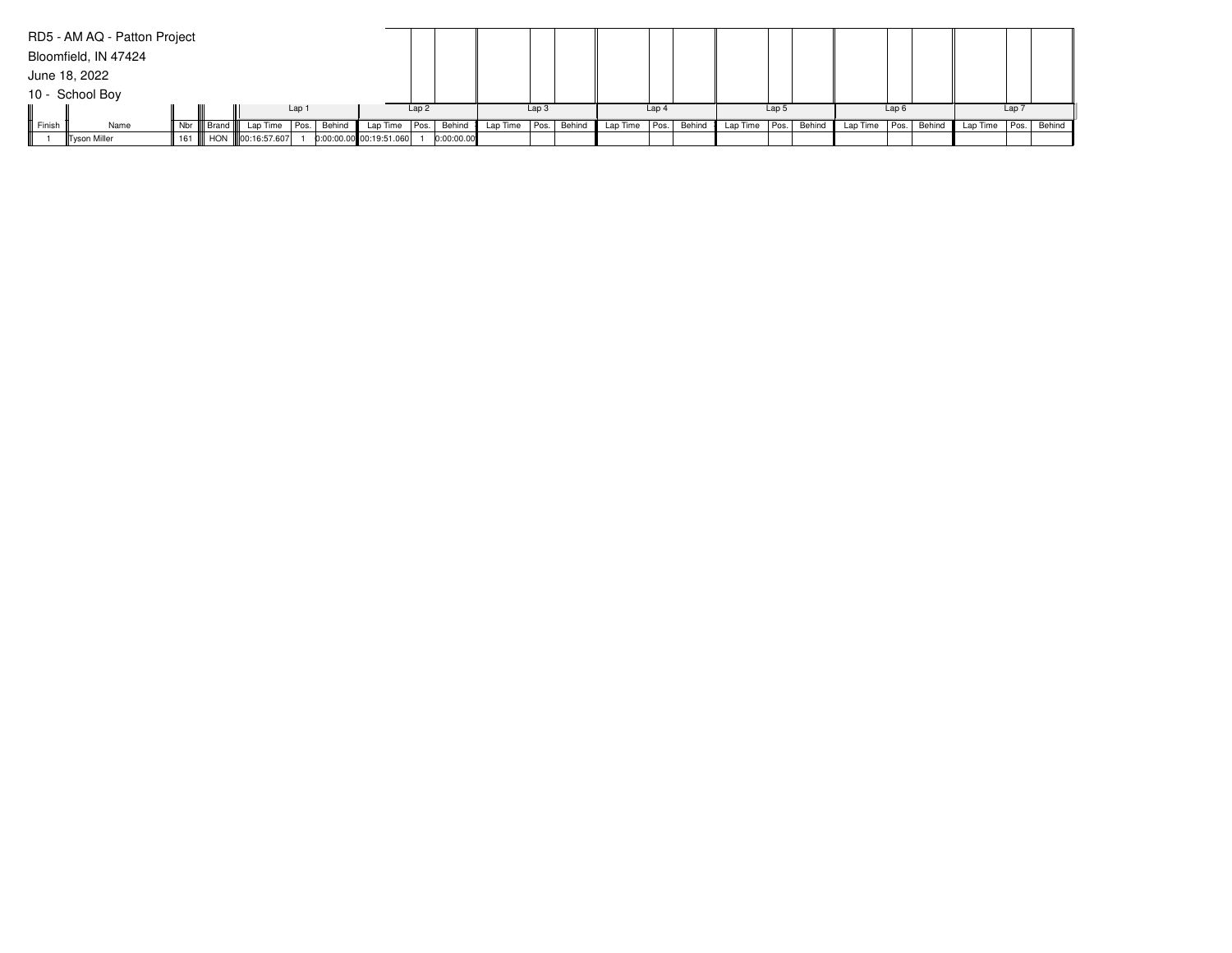|        | RD5 - AM AQ - Patton Project |              |                           |       |        |                         |      |            |          |                  |        |                 |                  |        |                   |       |        |                 |      |        |          |                  |             |
|--------|------------------------------|--------------|---------------------------|-------|--------|-------------------------|------|------------|----------|------------------|--------|-----------------|------------------|--------|-------------------|-------|--------|-----------------|------|--------|----------|------------------|-------------|
|        | Bloomfield, IN 47424         |              |                           |       |        |                         |      |            |          |                  |        |                 |                  |        |                   |       |        |                 |      |        |          |                  |             |
|        | June 18, 2022                |              |                           |       |        |                         |      |            |          |                  |        |                 |                  |        |                   |       |        |                 |      |        |          |                  |             |
|        | 10 - School Boy              |              |                           |       |        |                         |      |            |          |                  |        |                 |                  |        |                   |       |        |                 |      |        |          |                  |             |
|        |                              |              |                           | Lap 1 |        |                         | Lap2 |            |          | Lap <sub>3</sub> |        |                 | Lap <sub>4</sub> |        |                   | Lap 5 |        |                 | Lap6 |        |          | Lap <sub>7</sub> |             |
| Finish | Name                         | Nbr    Brand | Lap Time                  | Pos.  | Behind | Lap Time   Pos.         |      | Behind     | Lap Time | Pos.             | Behind | Lap Time   Pos. |                  | Behind | Lap Time $ Pos. $ |       | Behind | Lap Time   Pos. |      | Behind | Lap Time |                  | Pos. Behind |
|        | Tyson Miller                 |              | 161    HON   00:16:57.607 |       |        | 0:00:00.00 00:19:51.060 |      | 0:00:00.00 |          |                  |        |                 |                  |        |                   |       |        |                 |      |        |          |                  |             |